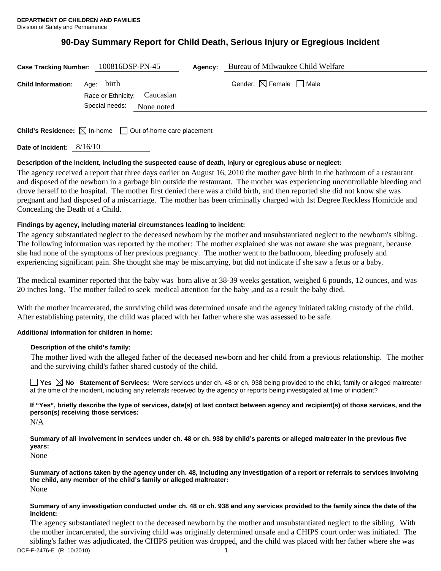# **90-Day Summary Report for Child Death, Serious Injury or Egregious Incident**

|                           | Case Tracking Number: 100816DSP-PN-45      | Agency: | Bureau of Milwaukee Child Welfare      |
|---------------------------|--------------------------------------------|---------|----------------------------------------|
| <b>Child Information:</b> | Age: birth<br>Race or Ethnicity: Caucasian |         | Gender: $\boxtimes$ Female $\Box$ Male |
|                           | Special needs: None noted                  |         |                                        |
|                           |                                            |         |                                        |

**Child's Residence:**  $\boxtimes$  In-home  $\Box$  Out-of-home care placement

**Date of Incident:** 8/16/10

# **Description of the incident, including the suspected cause of death, injury or egregious abuse or neglect:**

The agency received a report that three days earlier on August 16, 2010 the mother gave birth in the bathroom of a restaurant and disposed of the newborn in a garbage bin outside the restaurant. The mother was experiencing uncontrollable bleeding and drove herself to the hospital. The mother first denied there was a child birth, and then reported she did not know she was pregnant and had disposed of a miscarriage. The mother has been criminally charged with 1st Degree Reckless Homicide and Concealing the Death of a Child.

# **Findings by agency, including material circumstances leading to incident:**

The agency substantiated neglect to the deceased newborn by the mother and unsubstantiated neglect to the newborn's sibling. The following information was reported by the mother: The mother explained she was not aware she was pregnant, because she had none of the symptoms of her previous pregnancy. The mother went to the bathroom, bleeding profusely and experiencing significant pain. She thought she may be miscarrying, but did not indicate if she saw a fetus or a baby.

The medical examiner reported that the baby was born alive at 38-39 weeks gestation, weighed 6 pounds, 12 ounces, and was 20 inches long. The mother failed to seek medical attention for the baby ,and as a result the baby died.

With the mother incarcerated, the surviving child was determined unsafe and the agency initiated taking custody of the child. After establishing paternity, the child was placed with her father where she was assessed to be safe.

# **Additional information for children in home:**

# **Description of the child's family:**

 The mother lived with the alleged father of the deceased newborn and her child from a previous relationship. The mother and the surviving child's father shared custody of the child.

**Yes**  $\boxtimes$  **No** Statement of Services: Were services under ch. 48 or ch. 938 being provided to the child, family or alleged maltreater at the time of the incident, including any referrals received by the agency or reports being investigated at time of incident?

**If "Yes", briefly describe the type of services, date(s) of last contact between agency and recipient(s) of those services, and the person(s) receiving those services:** 

N/A

**Summary of all involvement in services under ch. 48 or ch. 938 by child's parents or alleged maltreater in the previous five years:** 

None

**Summary of actions taken by the agency under ch. 48, including any investigation of a report or referrals to services involving the child, any member of the child's family or alleged maltreater:**  None

### **Summary of any investigation conducted under ch. 48 or ch. 938 and any services provided to the family since the date of the incident:**

The agency substantiated neglect to the deceased newborn by the mother and unsubstantiated neglect to the sibling. With the mother incarcerated, the surviving child was originally determined unsafe and a CHIPS court order was initiated. The sibling's father was adjudicated, the CHIPS petition was dropped, and the child was placed with her father where she was